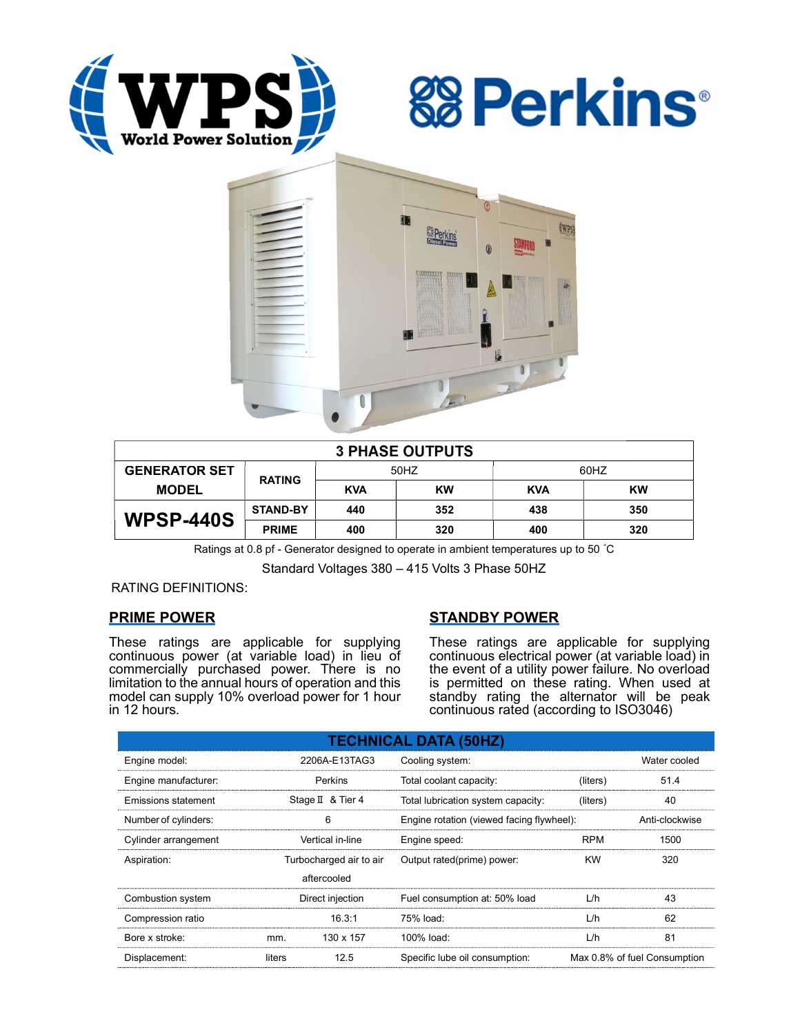





| <b>3 PHASE OUTPUTS</b> |                 |            |           |            |     |  |  |
|------------------------|-----------------|------------|-----------|------------|-----|--|--|
| <b>GENERATOR SET</b>   | <b>RATING</b>   | 50HZ       |           | 60HZ       |     |  |  |
| <b>MODEL</b>           |                 | <b>KVA</b> | <b>KW</b> | <b>KVA</b> | KW  |  |  |
| <b>WPSP-440S</b>       | <b>STAND-BY</b> | 440        | 352       | 438        | 350 |  |  |
|                        | <b>PRIME</b>    | 400        | 320       | 400        | 320 |  |  |

Ratings at 0.8 pf - Generator designed to operate in ambient temperatures up to 50 °C

Standard Voltages 380 – 415 Volts 3 Phase 50HZ

RATING DEFINITIONS:

## PRIME POWER

These ratings are applicable for supplying continuous power (at variable load) in lieu of commercially purchased power. There is no limitation to the annual hours of operation and this model can supply 10% overload power for 1 hour in 12 hours.

# STANDBY POWER

These ratings are applicable for supplying continuous electrical power (at variable load) in the event of a utility power failure. No overload is permitted on these rating. When used at standby rating the alternator will be peak continuous rated (according to ISO3046)

| <b>TECHNICAL DATA (50HZ)</b> |                         |                   |                                           |                              |                |  |  |
|------------------------------|-------------------------|-------------------|-------------------------------------------|------------------------------|----------------|--|--|
| Engine model:                | 2206A-E13TAG3           |                   | Cooling system:                           | Water cooled                 |                |  |  |
| Engine manufacturer:         |                         | Perkins           | Total coolant capacity:                   | (liters)                     | 51.4           |  |  |
| Emissions statement          |                         | Stage II & Tier 4 | Total lubrication system capacity:        | (liters)                     | 40             |  |  |
| Number of cylinders:         | 6                       |                   | Engine rotation (viewed facing flywheel): |                              | Anti-clockwise |  |  |
| Cylinder arrangement         |                         | Vertical in-line  | Engine speed:                             | <b>RPM</b>                   | 1500           |  |  |
| Aspiration:                  | Turbocharged air to air |                   | Output rated(prime) power:                | <b>KW</b>                    | 320            |  |  |
|                              |                         | aftercooled       |                                           |                              |                |  |  |
| Combustion system            | Direct injection        |                   | Fuel consumption at: 50% load             | L/h                          | 43             |  |  |
| Compression ratio            |                         | 16.3:1            | 75% load:                                 | L/h                          | 62             |  |  |
| Bore x stroke:               | mm.                     | 130 x 157         | 100% load:                                | L/h                          | 81             |  |  |
| Displacement:                | 12.5<br>liters          |                   | Specific lube oil consumption:            | Max 0.8% of fuel Consumption |                |  |  |